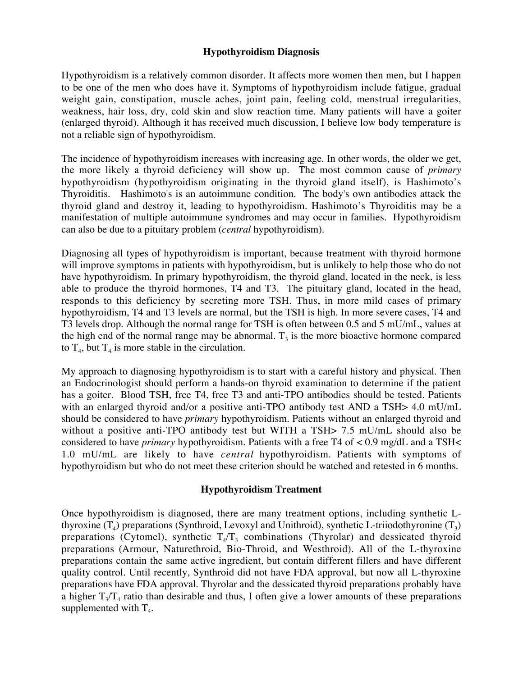## **Hypothyroidism Diagnosis**

Hypothyroidism is a relatively common disorder. It affects more women then men, but I happen to be one of the men who does have it. Symptoms of hypothyroidism include fatigue, gradual weight gain, constipation, muscle aches, joint pain, feeling cold, menstrual irregularities, weakness, hair loss, dry, cold skin and slow reaction time. Many patients will have a goiter (enlarged thyroid). Although it has received much discussion, I believe low body temperature is not a reliable sign of hypothyroidism.

The incidence of hypothyroidism increases with increasing age. In other words, the older we get, the more likely a thyroid deficiency will show up. The most common cause of *primary* hypothyroidism (hypothyroidism originating in the thyroid gland itself), is Hashimoto's Thyroiditis. Hashimoto's is an autoimmune condition. The body's own antibodies attack the thyroid gland and destroy it, leading to hypothyroidism. Hashimoto's Thyroiditis may be a manifestation of multiple autoimmune syndromes and may occur in families. Hypothyroidism can also be due to a pituitary problem (*central* hypothyroidism).

Diagnosing all types of hypothyroidism is important, because treatment with thyroid hormone will improve symptoms in patients with hypothyroidism, but is unlikely to help those who do not have hypothyroidism. In primary hypothyroidism, the thyroid gland, located in the neck, is less able to produce the thyroid hormones, T4 and T3. The pituitary gland, located in the head, responds to this deficiency by secreting more TSH. Thus, in more mild cases of primary hypothyroidism, T4 and T3 levels are normal, but the TSH is high. In more severe cases, T4 and T3 levels drop. Although the normal range for TSH is often between 0.5 and 5 mU/mL, values at the high end of the normal range may be abnormal.  $T_3$  is the more bioactive hormone compared to  $T_4$ , but  $T_4$  is more stable in the circulation.

My approach to diagnosing hypothyroidism is to start with a careful history and physical. Then an Endocrinologist should perform a hands-on thyroid examination to determine if the patient has a goiter. Blood TSH, free T4, free T3 and anti-TPO antibodies should be tested. Patients with an enlarged thyroid and/or a positive anti-TPO antibody test AND a TSH > 4.0 mU/mL should be considered to have *primary* hypothyroidism. Patients without an enlarged thyroid and without a positive anti-TPO antibody test but WITH a TSH> 7.5 mU/mL should also be considered to have *primary* hypothyroidism. Patients with a free T4 of < 0.9 mg/dL and a TSH< 1.0 mU/mL are likely to have *central* hypothyroidism. Patients with symptoms of hypothyroidism but who do not meet these criterion should be watched and retested in 6 months.

## **Hypothyroidism Treatment**

Once hypothyroidism is diagnosed, there are many treatment options, including synthetic Lthyroxine  $(T_4)$  preparations (Synthroid, Levoxyl and Unithroid), synthetic L-triiodothyronine  $(T_3)$ preparations (Cytomel), synthetic  $T_4/T_3$  combinations (Thyrolar) and dessicated thyroid preparations (Armour, Naturethroid, Bio-Throid, and Westhroid). All of the L-thyroxine preparations contain the same active ingredient, but contain different fillers and have different quality control. Until recently, Synthroid did not have FDA approval, but now all L-thyroxine preparations have FDA approval. Thyrolar and the dessicated thyroid preparations probably have a higher  $T_3/T_4$  ratio than desirable and thus, I often give a lower amounts of these preparations supplemented with  $T_4$ .